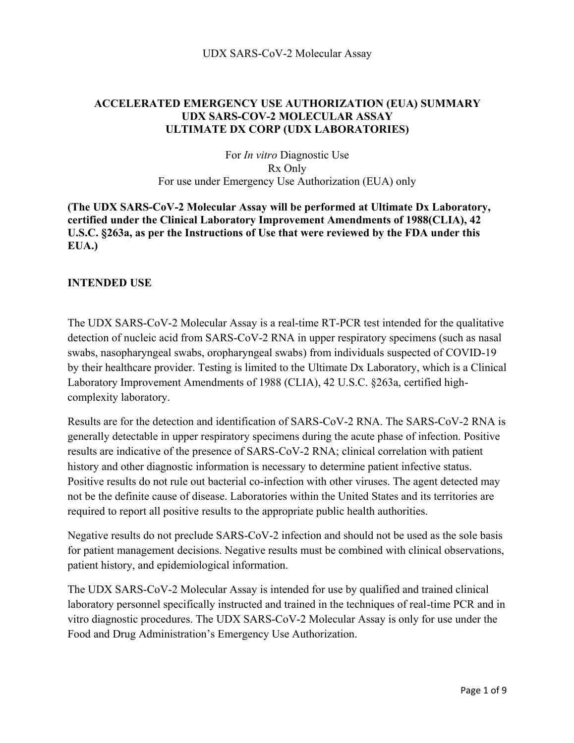## **ACCELERATED EMERGENCY USE AUTHORIZATION (EUA) SUMMARY UDX SARS-COV-2 MOLECULAR ASSAY ULTIMATE DX CORP (UDX LABORATORIES)**

For *In vitro* Diagnostic Use Rx Only For use under Emergency Use Authorization (EUA) only

**(The UDX SARS-CoV-2 Molecular Assay will be performed at Ultimate Dx Laboratory, certified under the Clinical Laboratory Improvement Amendments of 1988(CLIA), 42 U.S.C. §263a, as per the Instructions of Use that were reviewed by the FDA under this EUA.)** 

#### **INTENDED USE**

The UDX SARS-CoV-2 Molecular Assay is a real-time RT-PCR test intended for the qualitative detection of nucleic acid from SARS-CoV-2 RNA in upper respiratory specimens (such as nasal swabs, nasopharyngeal swabs, oropharyngeal swabs) from individuals suspected of COVID-19 by their healthcare provider. Testing is limited to the Ultimate Dx Laboratory, which is a Clinical Laboratory Improvement Amendments of 1988 (CLIA), 42 U.S.C. §263a, certified highcomplexity laboratory.

Results are for the detection and identification of SARS-CoV-2 RNA. The SARS-CoV-2 RNA is generally detectable in upper respiratory specimens during the acute phase of infection. Positive results are indicative of the presence of SARS-CoV-2 RNA; clinical correlation with patient history and other diagnostic information is necessary to determine patient infective status. Positive results do not rule out bacterial co-infection with other viruses. The agent detected may not be the definite cause of disease. Laboratories within the United States and its territories are required to report all positive results to the appropriate public health authorities.

Negative results do not preclude SARS-CoV-2 infection and should not be used as the sole basis for patient management decisions. Negative results must be combined with clinical observations, patient history, and epidemiological information.

The UDX SARS-CoV-2 Molecular Assay is intended for use by qualified and trained clinical laboratory personnel specifically instructed and trained in the techniques of real-time PCR and in vitro diagnostic procedures. The UDX SARS-CoV-2 Molecular Assay is only for use under the Food and Drug Administration's Emergency Use Authorization.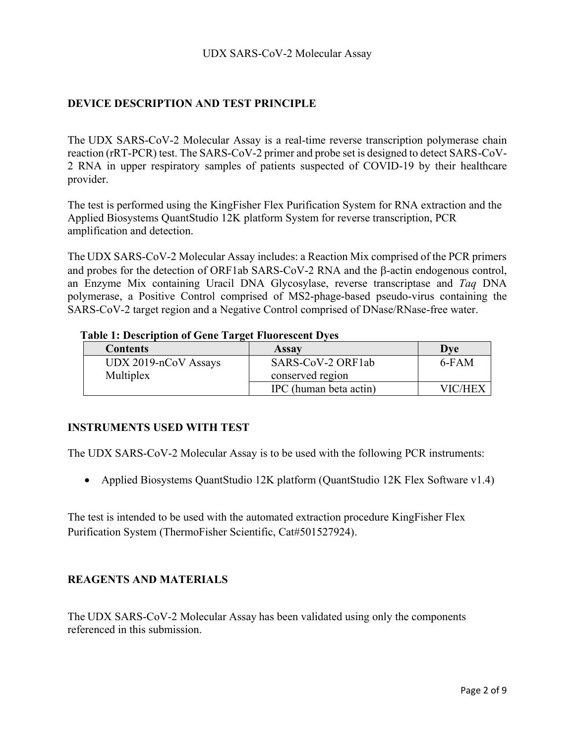## **DEVICE DESCRIPTION AND TEST PRINCIPLE**

The UDX SARS-CoV-2 Molecular Assay is a real-time reverse transcription polymerase chain reaction (rRT-PCR) test. The SARS-CoV-2 primer and probe set is designed to detect SARS-CoV-2 RNA in upper respiratory samples of patients suspected of COVID-19 by their healthcare provider.

The test is performed using the KingFisher Flex Purification System for RNA extraction and the Applied Biosystems QuantStudio 12K platform System for reverse transcription, PCR amplification and detection.

The UDX SARS-CoV-2 Molecular Assay includes: a Reaction Mix comprised of the PCR primers and probes for the detection of ORF1ab SARS-CoV-2 RNA and the  $\beta$ -actin endogenous control, an Enzyme Mix containing Uracil DNA Glycosylase, reverse transcriptase and *Taq* DNA polymerase, a Positive Control comprised of MS2-phage-based pseudo-virus containing the SARS-CoV-2 target region and a Negative Control comprised of DNase/RNase-free water.

### **Table 1: Description of Gene Target Fluorescent Dyes**

| <b>Contents</b>        | <b>Assay</b>           | <b>Dve</b> |  |
|------------------------|------------------------|------------|--|
| $UDX 2019-nCoV$ Assays | SARS-CoV-2 ORF1ab      | 6-FAM      |  |
| Multiplex              | conserved region       |            |  |
|                        | IPC (human beta actin) | VIC/HEX    |  |

#### **INSTRUMENTS USED WITH TEST**

The UDX SARS-CoV-2 Molecular Assay is to be used with the following PCR instruments:

· Applied Biosystems QuantStudio 12K platform (QuantStudio 12K Flex Software v1.4)

The test is intended to be used with the automated extraction procedure KingFisher Flex Purification System (ThermoFisher Scientific, Cat#501527924).

#### **REAGENTS AND MATERIALS**

The UDX SARS-CoV-2 Molecular Assay has been validated using only the components referenced in this submission.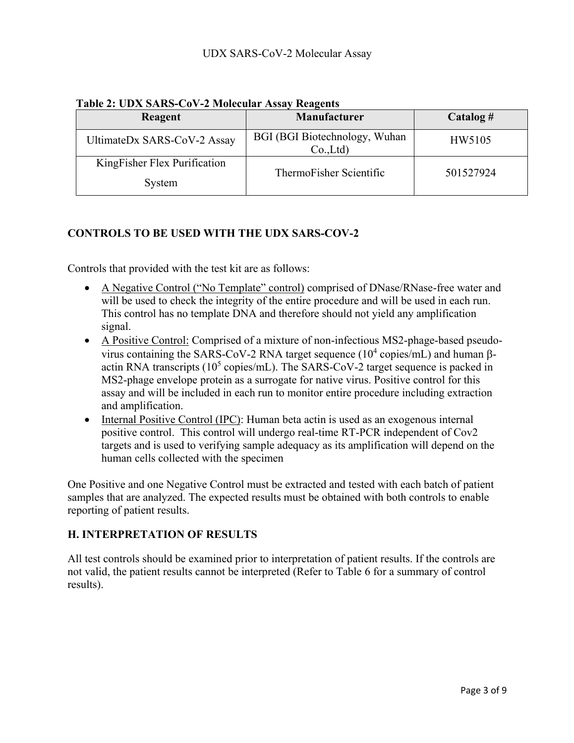| <b>Reagent</b>                         | Manufacturer                                | $\text{Catalog}$ # |  |
|----------------------------------------|---------------------------------------------|--------------------|--|
| UltimateDx SARS-CoV-2 Assay            | BGI (BGI Biotechnology, Wuhan<br>$Co$ . Ltd | HW5105             |  |
| KingFisher Flex Purification<br>System | ThermoFisher Scientific                     | 501527924          |  |

## **Table 2: UDX SARS-CoV-2 Molecular Assay Reagents**

## **CONTROLS TO BE USED WITH THE UDX SARS-COV-2**

Controls that provided with the test kit are as follows:

- A Negative Control ("No Template" control) comprised of DNase/RNase-free water and will be used to check the integrity of the entire procedure and will be used in each run. This control has no template DNA and therefore should not yield any amplification signal.
- A Positive Control: Comprised of a mixture of non-infectious MS2-phage-based pseudovirus containing the SARS-CoV-2 RNA target sequence ( $10^4$  copies/mL) and human  $\beta$ actin RNA transcripts ( $10^5$  copies/mL). The SARS-CoV-2 target sequence is packed in MS2-phage envelope protein as a surrogate for native virus. Positive control for this assay and will be included in each run to monitor entire procedure including extraction and amplification.
- Internal Positive Control (IPC): Human beta actin is used as an exogenous internal positive control. This control will undergo real-time RT-PCR independent of Cov2 targets and is used to verifying sample adequacy as its amplification will depend on the human cells collected with the specimen

One Positive and one Negative Control must be extracted and tested with each batch of patient samples that are analyzed. The expected results must be obtained with both controls to enable reporting of patient results.

## **H. INTERPRETATION OF RESULTS**

All test controls should be examined prior to interpretation of patient results. If the controls are not valid, the patient results cannot be interpreted (Refer to Table 6 for a summary of control results).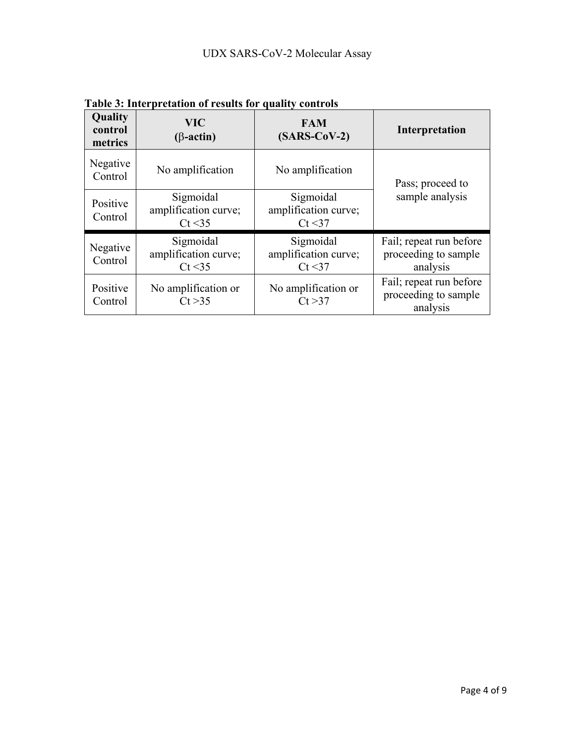| Quality<br>control<br>metrics | <b>VIC</b><br>$(\beta$ -actin)               | <b>FAM</b><br>$(SARS-CoV-2)$                 | Interpretation                                              |  |
|-------------------------------|----------------------------------------------|----------------------------------------------|-------------------------------------------------------------|--|
| Negative<br>Control           | No amplification                             | No amplification                             | Pass; proceed to                                            |  |
| Positive<br>Control           | Sigmoidal<br>amplification curve;<br>Ct < 35 | Sigmoidal<br>amplification curve;<br>Ct < 37 | sample analysis                                             |  |
| Negative<br>Control           | Sigmoidal<br>amplification curve;<br>Ct < 35 | Sigmoidal<br>amplification curve;<br>Ct < 37 | Fail; repeat run before<br>proceeding to sample<br>analysis |  |
| Positive<br>Control           | No amplification or<br>Ct > 35               | No amplification or<br>Ct > 37               | Fail; repeat run before<br>proceeding to sample<br>analysis |  |

**Table 3: Interpretation of results for quality controls**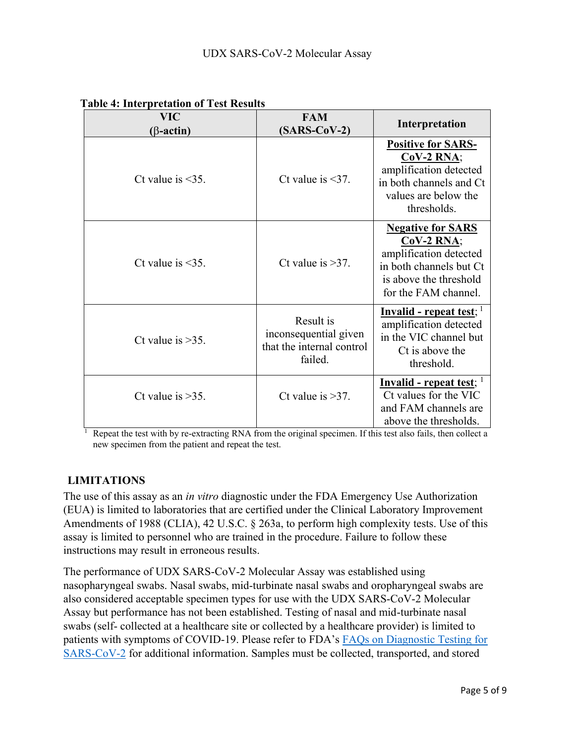| <b>VIC</b><br>$(\beta$ -actin) | <b>FAM</b><br>$(SARS-CoV-2)$                                               | Interpretation                                                                                                                                  |
|--------------------------------|----------------------------------------------------------------------------|-------------------------------------------------------------------------------------------------------------------------------------------------|
| Ct value is $\leq$ 35.         | Ct value is $\leq 37$ .                                                    | <b>Positive for SARS-</b><br>$CoV-2 RNA;$<br>amplification detected<br>in both channels and Ct<br>values are below the<br>thresholds.           |
| Ct value is $\leq$ 35.         | Ct value is $>37$ .                                                        | <b>Negative for SARS</b><br>$CoV-2 RNA;$<br>amplification detected<br>in both channels but Ct<br>is above the threshold<br>for the FAM channel. |
| Ct value is $>35$ .            | Result is<br>inconsequential given<br>that the internal control<br>failed. | <u>Invalid - repeat test; l</u><br>amplification detected<br>in the VIC channel but<br>Ct is above the<br>threshold.                            |
| Ct value is $>35$ .            | Ct value is $>37$ .                                                        | <b>Invalid - repeat test</b> ;<br>Ct values for the VIC<br>and FAM channels are<br>above the thresholds.                                        |

# **Table 4: Interpretation of Test Results**

Repeat the test with by re-extracting RNA from the original specimen. If this test also fails, then collect a new specimen from the patient and repeat the test.

# **LIMITATIONS**

The use of this assay as an *in vitro* diagnostic under the FDA Emergency Use Authorization (EUA) is limited to laboratories that are certified under the Clinical Laboratory Improvement Amendments of 1988 (CLIA), 42 U.S.C. § 263a, to perform high complexity tests. Use of this assay is limited to personnel who are trained in the procedure. Failure to follow these instructions may result in erroneous results.

The performance of UDX SARS-CoV-2 Molecular Assay was established using nasopharyngeal swabs. Nasal swabs, mid-turbinate nasal swabs and oropharyngeal swabs are also considered acceptable specimen types for use with the UDX SARS-CoV-2 Molecular Assay but performance has not been established. Testing of nasal and mid-turbinate nasal swabs (self- collected at a healthcare site or collected by a healthcare provider) is limited to patients with symptoms of COVID-19. Please refer to FDA's FAQs on Diagnostic Testing for SARS-CoV-2 for additional information. Samples must be collected, transported, and stored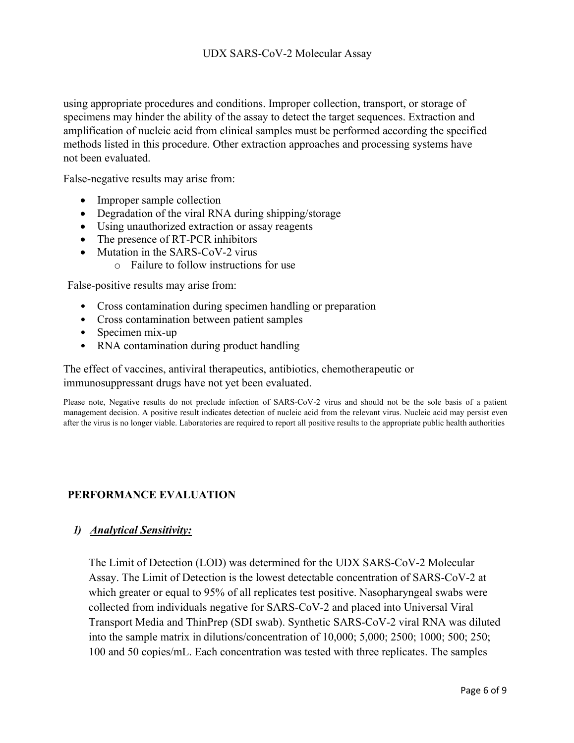using appropriate procedures and conditions. Improper collection, transport, or storage of specimens may hinder the ability of the assay to detect the target sequences. Extraction and amplification of nucleic acid from clinical samples must be performed according the specified methods listed in this procedure. Other extraction approaches and processing systems have not been evaluated.

False-negative results may arise from:

- Improper sample collection
- Degradation of the viral RNA during shipping/storage
- · Using unauthorized extraction or assay reagents
- The presence of RT-PCR inhibitors
- Mutation in the SARS-CoV-2 virus
	- o Failure to follow instructions for use

False-positive results may arise from:

- Cross contamination during specimen handling or preparation
- Cross contamination between patient samples
- Specimen mix-up
- RNA contamination during product handling

The effect of vaccines, antiviral therapeutics, antibiotics, chemotherapeutic or immunosuppressant drugs have not yet been evaluated.

Please note, Negative results do not preclude infection of SARS-CoV-2 virus and should not be the sole basis of a patient management decision. A positive result indicates detection of nucleic acid from the relevant virus. Nucleic acid may persist even after the virus is no longer viable. Laboratories are required to report all positive results to the appropriate public health authorities

## **PERFORMANCE EVALUATION**

## *1) Analytical Sensitivity:*

The Limit of Detection (LOD) was determined for the UDX SARS-CoV-2 Molecular Assay. The Limit of Detection is the lowest detectable concentration of SARS-CoV-2 at which greater or equal to 95% of all replicates test positive. Nasopharyngeal swabs were collected from individuals negative for SARS-CoV-2 and placed into Universal Viral Transport Media and ThinPrep (SDI swab). Synthetic SARS-CoV-2 viral RNA was diluted into the sample matrix in dilutions/concentration of 10,000; 5,000; 2500; 1000; 500; 250; 100 and 50 copies/mL. Each concentration was tested with three replicates. The samples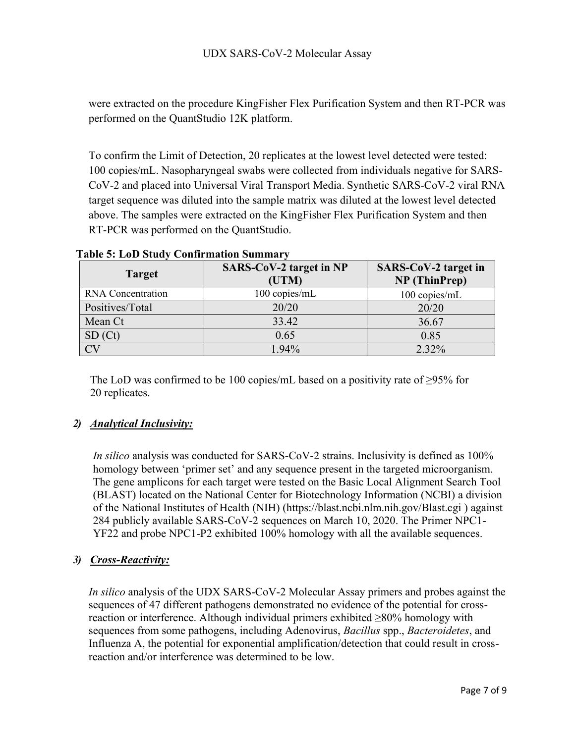were extracted on the procedure KingFisher Flex Purification System and then RT-PCR was performed on the QuantStudio 12K platform.

To confirm the Limit of Detection, 20 replicates at the lowest level detected were tested: 100 copies/mL. Nasopharyngeal swabs were collected from individuals negative for SARS-CoV-2 and placed into Universal Viral Transport Media. Synthetic SARS-CoV-2 viral RNA target sequence was diluted into the sample matrix was diluted at the lowest level detected above. The samples were extracted on the KingFisher Flex Purification System and then RT-PCR was performed on the QuantStudio.

| <b>Target</b>            | SARS-CoV-2 target in NP<br>(UTM) | SARS-CoV-2 target in<br>NP (ThinPrep) |  |
|--------------------------|----------------------------------|---------------------------------------|--|
| <b>RNA</b> Concentration | 100 copies/mL                    | 100 copies/mL                         |  |
| Positives/Total          | 20/20                            | 20/20                                 |  |
| Mean Ct                  | 33.42                            | 36.67                                 |  |
| SD (Ct)                  | 0.65                             | 0.85                                  |  |
|                          | $1.94\%$                         | 2.32%                                 |  |

**Table 5: LoD Study Confirmation Summary**

The LoD was confirmed to be 100 copies/mL based on a positivity rate of  $\geq$ 95% for 20 replicates.

# *2) Analytical Inclusivity:*

*In silico* analysis was conducted for SARS-CoV-2 strains. Inclusivity is defined as 100% homology between 'primer set' and any sequence present in the targeted microorganism. The gene amplicons for each target were tested on the Basic Local Alignment Search Tool (BLAST) located on the National Center for Biotechnology Information (NCBI) a division of the National Institutes of Health (NIH) (https://blast.ncbi.nlm.nih.gov/Blast.cgi ) against 284 publicly available SARS-CoV-2 sequences on March 10, 2020. The Primer NPC1- YF22 and probe NPC1-P2 exhibited 100% homology with all the available sequences.

## *3) Cross-Reactivity:*

*In silico* analysis of the UDX SARS-CoV-2 Molecular Assay primers and probes against the sequences of 47 different pathogens demonstrated no evidence of the potential for crossreaction or interference. Although individual primers exhibited ≥80% homology with sequences from some pathogens, including Adenovirus, *Bacillus* spp., *Bacteroidetes*, and Influenza A, the potential for exponential amplification/detection that could result in crossreaction and/or interference was determined to be low.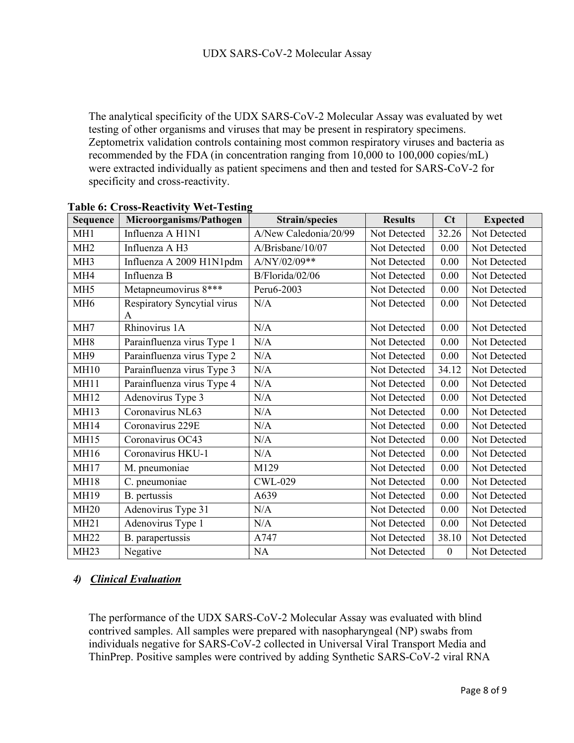The analytical specificity of the UDX SARS-CoV-2 Molecular Assay was evaluated by wet testing of other organisms and viruses that may be present in respiratory specimens. Zeptometrix validation controls containing most common respiratory viruses and bacteria as recommended by the FDA (in concentration ranging from 10,000 to 100,000 copies/mL) were extracted individually as patient specimens and then and tested for SARS-CoV-2 for specificity and cross-reactivity.

| Sequence        | Microorganisms/Pathogen          | <b>Strain/species</b> | <b>Results</b> | C <sub>t</sub>   | <b>Expected</b> |
|-----------------|----------------------------------|-----------------------|----------------|------------------|-----------------|
| MH <sub>1</sub> | Influenza A H1N1                 | A/New Caledonia/20/99 | Not Detected   | 32.26            | Not Detected    |
| MH <sub>2</sub> | Influenza A H3                   | A/Brisbane/10/07      | Not Detected   | 0.00             | Not Detected    |
| MH <sub>3</sub> | Influenza A 2009 H1N1pdm         | A/NY/02/09**          | Not Detected   | 0.00             | Not Detected    |
| MH <sub>4</sub> | Influenza B                      | B/Florida/02/06       | Not Detected   | 0.00             | Not Detected    |
| MH <sub>5</sub> | Metapneumovirus 8***             | Peru6-2003            | Not Detected   | 0.00             | Not Detected    |
| MH <sub>6</sub> | Respiratory Syncytial virus<br>A | N/A                   | Not Detected   | 0.00             | Not Detected    |
| MH7             | Rhinovirus 1A                    | N/A                   | Not Detected   | 0.00             | Not Detected    |
| MH <sub>8</sub> | Parainfluenza virus Type 1       | N/A                   | Not Detected   | 0.00             | Not Detected    |
| MH <sub>9</sub> | Parainfluenza virus Type 2       | N/A                   | Not Detected   | 0.00             | Not Detected    |
| <b>MH10</b>     | Parainfluenza virus Type 3       | N/A                   | Not Detected   | 34.12            | Not Detected    |
| <b>MH11</b>     | Parainfluenza virus Type 4       | N/A                   | Not Detected   | 0.00             | Not Detected    |
| <b>MH12</b>     | Adenovirus Type 3                | N/A                   | Not Detected   | 0.00             | Not Detected    |
| <b>MH13</b>     | Coronavirus NL63                 | N/A                   | Not Detected   | 0.00             | Not Detected    |
| <b>MH14</b>     | Coronavirus 229E                 | N/A                   | Not Detected   | 0.00             | Not Detected    |
| <b>MH15</b>     | Coronavirus OC43                 | N/A                   | Not Detected   | 0.00             | Not Detected    |
| MH16            | Coronavirus HKU-1                | N/A                   | Not Detected   | 0.00             | Not Detected    |
| <b>MH17</b>     | M. pneumoniae                    | M129                  | Not Detected   | 0.00             | Not Detected    |
| <b>MH18</b>     | C. pneumoniae                    | <b>CWL-029</b>        | Not Detected   | 0.00             | Not Detected    |
| <b>MH19</b>     | B. pertussis                     | A639                  | Not Detected   | 0.00             | Not Detected    |
| <b>MH20</b>     | Adenovirus Type 31               | N/A                   | Not Detected   | 0.00             | Not Detected    |
| <b>MH21</b>     | Adenovirus Type 1                | N/A                   | Not Detected   | 0.00             | Not Detected    |
| <b>MH22</b>     | B. parapertussis                 | A747                  | Not Detected   | 38.10            | Not Detected    |
| <b>MH23</b>     | Negative                         | NA                    | Not Detected   | $\boldsymbol{0}$ | Not Detected    |

#### **Table 6: Cross-Reactivity Wet-Testing**

# *4) Clinical Evaluation*

The performance of the UDX SARS-CoV-2 Molecular Assay was evaluated with blind contrived samples. All samples were prepared with nasopharyngeal (NP) swabs from individuals negative for SARS-CoV-2 collected in Universal Viral Transport Media and ThinPrep. Positive samples were contrived by adding Synthetic SARS-CoV-2 viral RNA